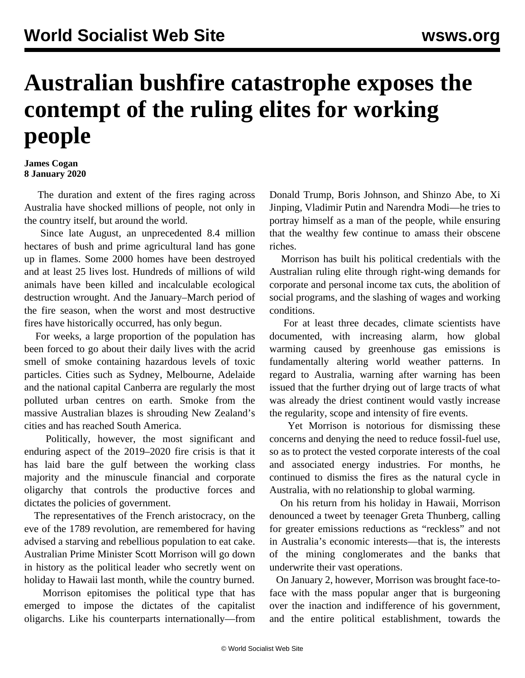## **Australian bushfire catastrophe exposes the contempt of the ruling elites for working people**

## **James Cogan 8 January 2020**

 The duration and extent of the fires raging across Australia have shocked millions of people, not only in the country itself, but around the world.

 Since late August, an unprecedented 8.4 million hectares of bush and prime agricultural land has gone up in flames. Some 2000 homes have been destroyed and at least 25 lives lost. Hundreds of millions of wild animals have been killed and incalculable ecological destruction wrought. And the January–March period of the fire season, when the worst and most destructive fires have historically occurred, has only begun.

 For weeks, a large proportion of the population has been forced to go about their daily lives with the acrid smell of smoke containing hazardous levels of toxic particles. Cities such as Sydney, Melbourne, Adelaide and the national capital Canberra are regularly the most polluted urban centres on earth. Smoke from the massive Australian blazes is shrouding New Zealand's cities and has reached South America.

 Politically, however, the most significant and enduring aspect of the 2019–2020 fire crisis is that it has laid bare the gulf between the working class majority and the minuscule financial and corporate oligarchy that controls the productive forces and dictates the policies of government.

 The representatives of the French aristocracy, on the eve of the 1789 revolution, are remembered for having advised a starving and rebellious population to eat cake. Australian Prime Minister Scott Morrison will go down in history as the political leader who secretly went on holiday to Hawaii last month, while the country burned.

 Morrison epitomises the political type that has emerged to impose the dictates of the capitalist oligarchs. Like his counterparts internationally—from Donald Trump, Boris Johnson, and Shinzo Abe, to Xi Jinping, Vladimir Putin and Narendra Modi—he tries to portray himself as a man of the people, while ensuring that the wealthy few continue to amass their obscene riches.

 Morrison has built his political credentials with the Australian ruling elite through right-wing demands for corporate and personal income tax cuts, the abolition of social programs, and the slashing of wages and working conditions.

 For at least three decades, climate scientists have documented, with increasing alarm, how global warming caused by greenhouse gas emissions is fundamentally altering world weather patterns. In regard to Australia, warning after warning has been issued that the further drying out of large tracts of what was already the driest continent would vastly increase the regularity, scope and intensity of fire events.

 Yet Morrison is notorious for dismissing these concerns and denying the need to reduce fossil-fuel use, so as to protect the vested corporate interests of the coal and associated energy industries. For months, he continued to dismiss the fires as the natural cycle in Australia, with no relationship to global warming.

 On his return from his holiday in Hawaii, Morrison denounced a tweet by teenager Greta Thunberg, calling for greater emissions reductions as "reckless" and not in Australia's economic interests—that is, the interests of the mining conglomerates and the banks that underwrite their vast operations.

 On January 2, however, Morrison was brought face-toface with the mass popular anger that is burgeoning over the inaction and indifference of his government, and the entire political establishment, towards the